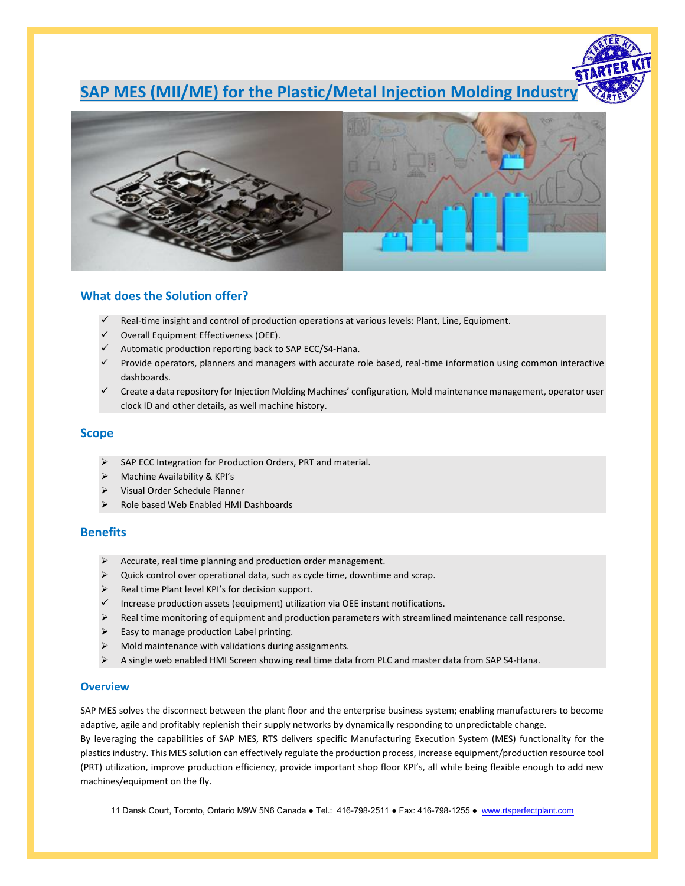# **SAP MES (MII/ME) for the Plastic/Metal Injection Molding Industry**



# **What does the Solution offer?**

- Real-time insight and control of production operations at various levels: Plant, Line, Equipment.
- Overall Equipment Effectiveness (OEE).
- Automatic production reporting back to SAP ECC/S4-Hana.
- ✓ Provide operators, planners and managers with accurate role based, real-time information using common interactive dashboards.
- ✓ Create a data repository for Injection Molding Machines' configuration, Mold maintenance management, operator user clock ID and other details, as well machine history.

# **Scope**

- ➢ SAP ECC Integration for Production Orders, PRT and material.
- ➢ Machine Availability & KPI's
- ➢ Visual Order Schedule Planner
- ➢ Role based Web Enabled HMI Dashboards

# **Benefits**

- ➢ Accurate, real time planning and production order management.
- ➢ Quick control over operational data, such as cycle time, downtime and scrap.
- Real time Plant level KPI's for decision support.
- ✓ Increase production assets (equipment) utilization via OEE instant notifications.
- Real time monitoring of equipment and production parameters with streamlined maintenance call response.
- Easy to manage production Label printing.
- ➢ Mold maintenance with validations during assignments.
- ➢ A single web enabled HMI Screen showing real time data from PLC and master data from SAP S4-Hana.

## **Overview**

SAP MES solves the disconnect between the plant floor and the enterprise business system; enabling manufacturers to become adaptive, agile and profitably replenish their supply networks by dynamically responding to unpredictable change. By leveraging the capabilities of SAP MES, RTS delivers specific Manufacturing Execution System (MES) functionality for the plastics industry. This MES solution can effectively regulate the production process, increase equipment/production resource tool (PRT) utilization, improve production efficiency, provide important shop floor KPI's, all while being flexible enough to add new machines/equipment on the fly.

11 Dansk Court, Toronto, Ontario M9W 5N6 Canada ● Tel.: 416-798-2511 ● Fax: 416-798-1255 ● [www.rtsperfectplant.com](http://www.rtsperfectplant.com/)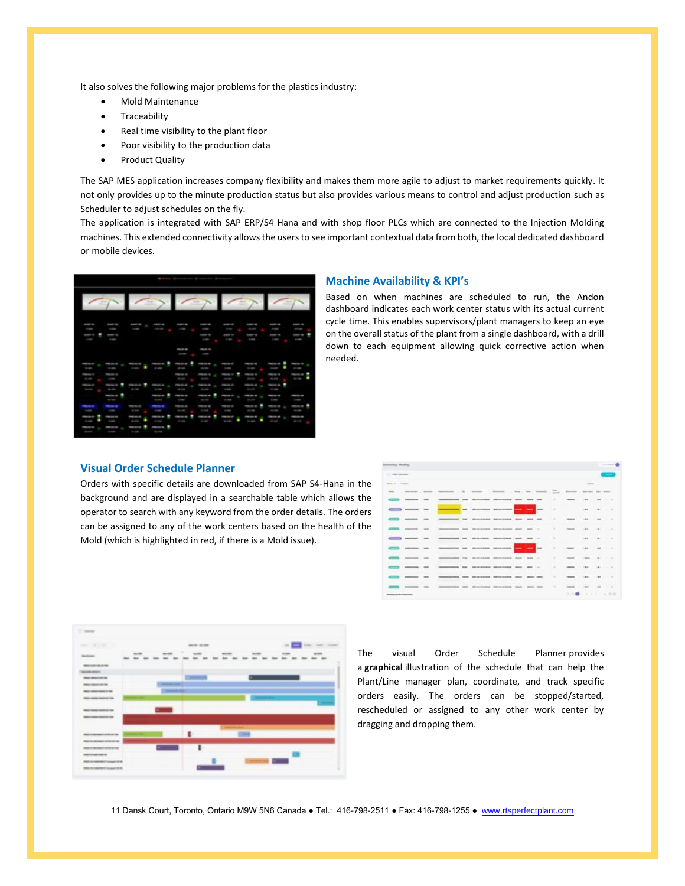It also solves the following major problems for the plastics industry:

- Mold Maintenance
- **Traceability**
- Real time visibility to the plant floor
- Poor visibility to the production data
- Product Quality

The SAP MES application increases company flexibility and makes them more agile to adjust to market requirements quickly. It not only provides up to the minute production status but also provides various means to control and adjust production such as Scheduler to adjust schedules on the fly.

The application is integrated with SAP ERP/S4 Hana and with shop floor PLCs which are connected to the Injection Molding machines. This extended connectivity allows the users to see important contextual data from both, the local dedicated dashboard or mobile devices.



#### **Machine Availability & KPI's**

Based on when machines are scheduled to run, the Andon dashboard indicates each work center status with its actual current cycle time. This enables supervisors/plant managers to keep an eye on the overall status of the plant from a single dashboard, with a drill down to each equipment allowing quick corrective action when needed.

# **Visual Order Schedule Planner**

Orders with specific details are downloaded from SAP S4-Hana in the background and are displayed in a searchable table which allows the operator to search with any keyword from the order details. The orders can be assigned to any of the work centers based on the health of the Mold (which is highlighted in red, if there is a Mold issue).

| Infantating Monthly            |       |              |                                                                                                               |                                                              |                                      |   |              |          |               |                                                                                                                                                                                                                                                                                                                                                                                                                                                                            |                                                                                                |                          |                                                                                                                                                      | ----           |
|--------------------------------|-------|--------------|---------------------------------------------------------------------------------------------------------------|--------------------------------------------------------------|--------------------------------------|---|--------------|----------|---------------|----------------------------------------------------------------------------------------------------------------------------------------------------------------------------------------------------------------------------------------------------------------------------------------------------------------------------------------------------------------------------------------------------------------------------------------------------------------------------|------------------------------------------------------------------------------------------------|--------------------------|------------------------------------------------------------------------------------------------------------------------------------------------------|----------------|
| 12 Sold Spreads                |       |              |                                                                                                               |                                                              |                                      |   |              |          |               |                                                                                                                                                                                                                                                                                                                                                                                                                                                                            |                                                                                                |                          |                                                                                                                                                      |                |
| many three transports.         |       |              |                                                                                                               |                                                              |                                      |   |              |          |               |                                                                                                                                                                                                                                                                                                                                                                                                                                                                            | $\frac{1}{2} \left( \frac{1}{2} \right) \left( \frac{1}{2} \right) \left( \frac{1}{2} \right)$ |                          |                                                                                                                                                      |                |
|                                |       |              | and Construct Grand Construct Co. Southern Construct Co. Sec. Box Construct Co. Sec. Sec. Sec. Sec. Sec. 2014 |                                                              |                                      |   |              |          |               |                                                                                                                                                                                                                                                                                                                                                                                                                                                                            |                                                                                                |                          |                                                                                                                                                      |                |
|                                |       |              |                                                                                                               | <b>STAIL AND CARDINAL CONVENTIONS</b>                        |                                      |   | --           | $-$      |               | $-$                                                                                                                                                                                                                                                                                                                                                                                                                                                                        | <b>SEE</b>                                                                                     | $\sim$                   | <b>College</b>                                                                                                                                       |                |
|                                | $-$   |              | --                                                                                                            | determine production and seat                                |                                      |   |              |          |               |                                                                                                                                                                                                                                                                                                                                                                                                                                                                            | $-$                                                                                            | $\sim$                   | . .                                                                                                                                                  |                |
|                                |       | $-$          |                                                                                                               | --------                                                     | <b>SERVICE CONTROL</b>               |   | <b>STATE</b> | $-$      |               |                                                                                                                                                                                                                                                                                                                                                                                                                                                                            | me.                                                                                            |                          |                                                                                                                                                      |                |
|                                | ____  |              |                                                                                                               | demonstrating their constructions permitted and special con- |                                      |   |              |          | ۰             | $\frac{1}{2} \left( \frac{1}{2} \right) \left( \frac{1}{2} \right) \left( \frac{1}{2} \right) \left( \frac{1}{2} \right) \left( \frac{1}{2} \right) \left( \frac{1}{2} \right) \left( \frac{1}{2} \right) \left( \frac{1}{2} \right) \left( \frac{1}{2} \right) \left( \frac{1}{2} \right) \left( \frac{1}{2} \right) \left( \frac{1}{2} \right) \left( \frac{1}{2} \right) \left( \frac{1}{2} \right) \left( \frac{1}{2} \right) \left( \frac{1}{2} \right) \left( \frac$ | recent                                                                                         |                          |                                                                                                                                                      |                |
|                                | ___   |              | ______                                                                                                        |                                                              | developed developed and see in-      |   |              |          | -             |                                                                                                                                                                                                                                                                                                                                                                                                                                                                            | men.                                                                                           | $\sim$                   |                                                                                                                                                      | <b>Service</b> |
|                                | _____ |              |                                                                                                               | -----                                                        | <b>SECRETARY DESIGNATION</b>         | - |              | --       |               |                                                                                                                                                                                                                                                                                                                                                                                                                                                                            |                                                                                                | $\sim$                   | .                                                                                                                                                    |                |
|                                | ____  |              | _______                                                                                                       |                                                              | construction. Introductions          |   | ---          | $-$      | ۰             |                                                                                                                                                                                                                                                                                                                                                                                                                                                                            |                                                                                                | $\sim$                   |                                                                                                                                                      |                |
|                                |       | <b>START</b> |                                                                                                               |                                                              | <b>SECRETARY SERVICES WAS MIX 10</b> |   |              |          |               |                                                                                                                                                                                                                                                                                                                                                                                                                                                                            | <b>SECU</b>                                                                                    |                          | .                                                                                                                                                    |                |
|                                |       | $-$          |                                                                                                               | <b>GRAND RANGE</b>                                           | <b>SHIP AND ARRANGEMENT</b>          |   |              | $-$      | ٠             |                                                                                                                                                                                                                                                                                                                                                                                                                                                                            | <b>SECU</b>                                                                                    |                          |                                                                                                                                                      | $\sim$         |
|                                |       | $\cdots$     |                                                                                                               | aller var strategister                                       | With the American Corp.              |   |              | anno seu | $\rightarrow$ |                                                                                                                                                                                                                                                                                                                                                                                                                                                                            | <b>SERVICE</b>                                                                                 | $\overline{\phantom{a}}$ | $\frac{1}{2} \left( \frac{1}{2} \right) \left( \frac{1}{2} \right) \left( \frac{1}{2} \right) \left( \frac{1}{2} \right) \left( \frac{1}{2} \right)$ |                |
| <b>Imamy industrial colors</b> |       |              |                                                                                                               |                                                              |                                      |   |              |          |               |                                                                                                                                                                                                                                                                                                                                                                                                                                                                            | $-10 - 10 - 10 - 10$                                                                           |                          |                                                                                                                                                      | $-7.37$        |



The visual Order Schedule Planner provides a **graphical** illustration of the schedule that can help the Plant/Line manager plan, coordinate, and track specific orders easily. The orders can be stopped/started, rescheduled or assigned to any other work center by dragging and dropping them.

11 Dansk Court, Toronto, Ontario M9W 5N6 Canada ● Tel.: 416-798-2511 ● Fax: 416-798-1255 ● [www.rtsperfectplant.com](http://www.rtsperfectplant.com/)